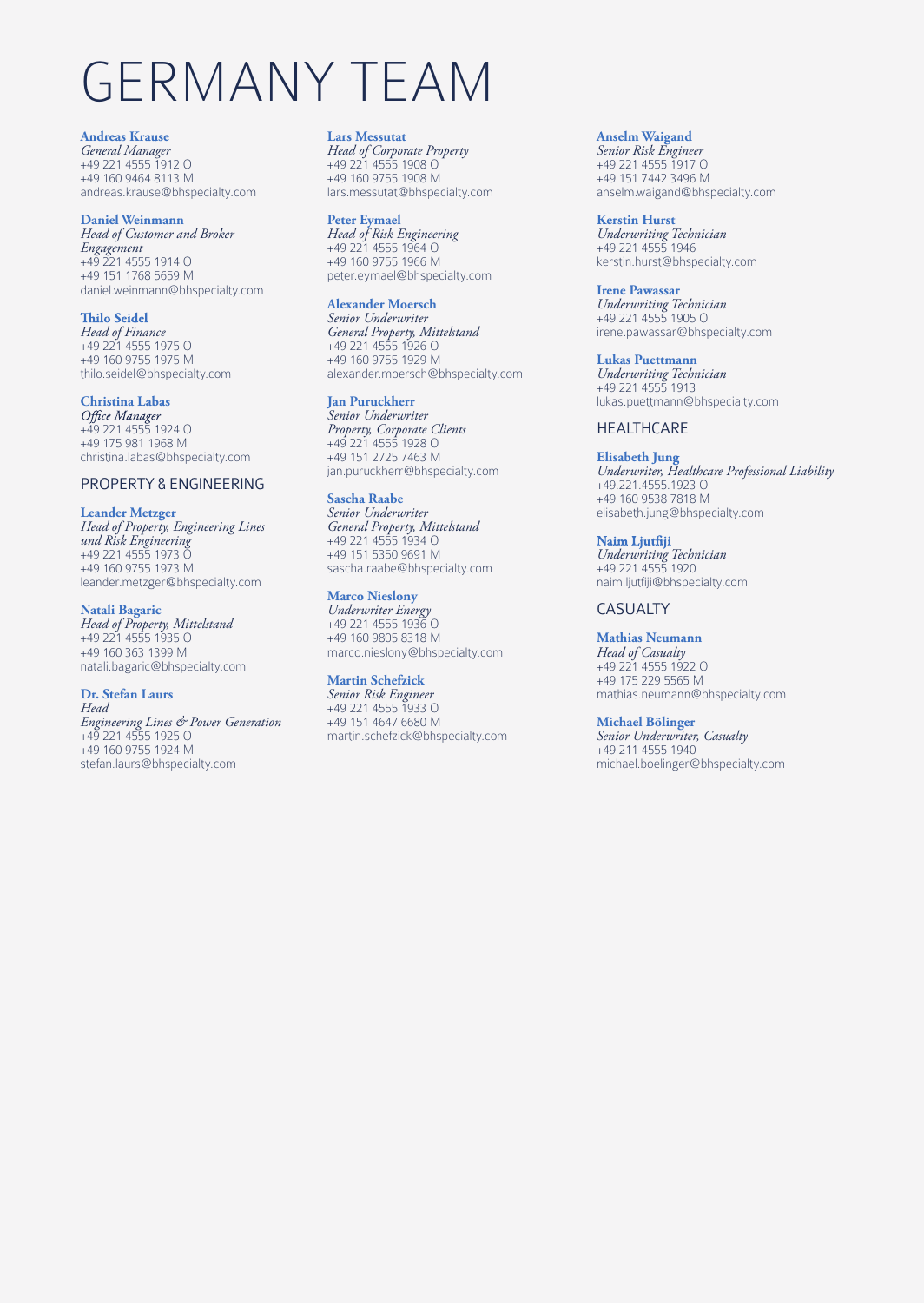# GERMANY TEAM

#### **Andreas Krause**

*General Manager* +49 221 4555 1912 O +49 160 9464 8113 M andreas.krause@bhspecialty.com

#### **Daniel Weinmann**

*Head of Customer and Broker Engagement* +49 221 4555 1914 O +49 151 1768 5659 M daniel.weinmann@bhspecialty.com

#### **Thilo Seidel**

*Head of Finance* +49 221 4555 1975 O +49 160 9755 1975 M thilo.seidel@bhspecialty.com

## **Christina Labas**

+49 221 4555 1924 O +49 175 981 1968 M christina.labas@bhspecialty.com

#### PROPERTY & ENGINEERING

#### **Leander Metzger**

*Head of Property, Engineering Lines und Risk Engineering* +49 221 4555 1973 O +49 160 9755 1973 M leander.metzger@bhspecialty.com

#### **Natali Bagaric**

*Head of Property, Mittelstand* +49 221 4555 1935 O +49 160 363 1399 M natali.bagaric@bhspecialty.com

#### **Dr. Stefan Laurs**

*Head Engineering Lines & Power Generation* +49 221 4555 1925 O +49 160 9755 1924 M stefan.laurs@bhspecialty.com

#### **Lars Messutat**

*Head of Corporate Property* +49 221 4555 1908 O +49 160 9755 1908 M lars.messutat@bhspecialty.com

#### **Peter Eymael**

*Head of Risk Engineering* +49 221 4555 1964 O +49 160 9755 1966 M peter.eymael@bhspecialty.com

#### **Alexander Moersch**

*Senior Underwriter General Property, Mittelstand* +49 221 4555 1926 O +49 160 9755 1929 M alexander.moersch@bhspecialty.com

#### **Jan Puruckherr**

*Senior Underwriter Property, Corporate Clients* +49 221 4555 1928 O +49 151 2725 7463 M jan.puruckherr@bhspecialty.com

#### **Sascha Raabe**

*Senior Underwriter General Property, Mittelstand* +49 221 4555 1934 O +49 151 5350 9691 M sascha.raabe@bhspecialty.com

#### **Marco Nieslony**

*Underwriter Energy* +49 221 4555 1936 O +49 160 9805 8318 M marco.nieslony@bhspecialty.com

#### **Martin Schefzick**

*Senior Risk Engineer* +49 221 4555 1933 O +49 151 4647 6680 M martin.schefzick@bhspecialty.com

#### **Anselm Waigand**

*Senior Risk Engineer* +49 221 4555 1917 O +49 151 7442 3496 M anselm.waigand@bhspecialty.com

**Kerstin Hurst** *Underwriting Technician* +49 221 4555 1946 kerstin.hurst@bhspecialty.com

**Irene Pawassar** *Underwriting Technician* +49 221 4555 1905 O irene.pawassar@bhspecialty.com

#### **Lukas Puettmann**

*Underwriting Technician* +49 221 4555 1913 lukas.puettmann@bhspecialty.com

#### HEALTHCARE

#### **Elisabeth Jung**

*Underwriter, Healthcare Professional Liability* +49.221.4555.1923 O +49 160 9538 7818 M elisabeth.jung@bhspecialty.com

Naim Ljutfiji *Underwriting Technician* +49 221 4555 1920 naim.ljutfiji@bhspecialty.com

### CASUALTY

#### **Mathias Neumann**

*Head of Casualty* +49 221 4555 1922 O +49 175 229 5565 M mathias.neumann@bhspecialty.com

#### **Michael Bölinger**

*Senior Underwriter, Casualty* +49 211 4555 1940 michael.boelinger@bhspecialty.com